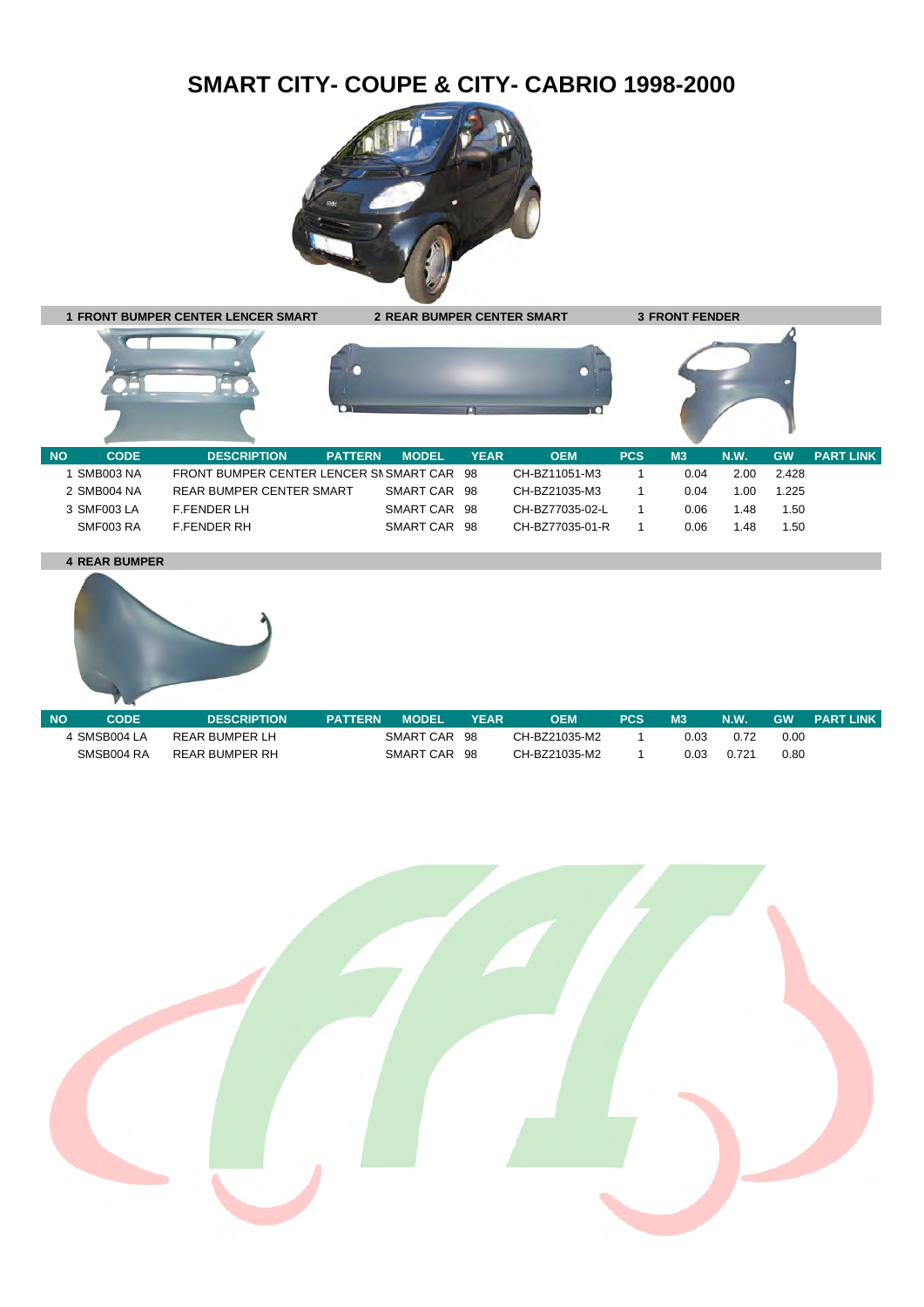## **SMART CITY- COUPE & CITY- CABRIO 1998-2000**





## **4 REAR BUMPER**



| <b>NO</b> | CODE         | <b>DESCRIPTION</b> | <b>PATTERN</b> | <b>MODEL</b> | <b>YEAR</b> | OEM           | PCS |      | <b>N.W.</b> | <b>GW</b> | <b>PART LINK</b> |
|-----------|--------------|--------------------|----------------|--------------|-------------|---------------|-----|------|-------------|-----------|------------------|
|           | 4 SMSB004 LA | REAR BUMPER LH     |                | SMART CAR    | -98         | CH-BZ21035-M2 |     | 0.03 | 0.72        | 0.00      |                  |
|           | SMSB004 RA   | REAR BUMPER RH     |                | SMART CAR    | -98         | CH-BZ21035-M2 |     | 0.03 | 0.721       | 0.80      |                  |

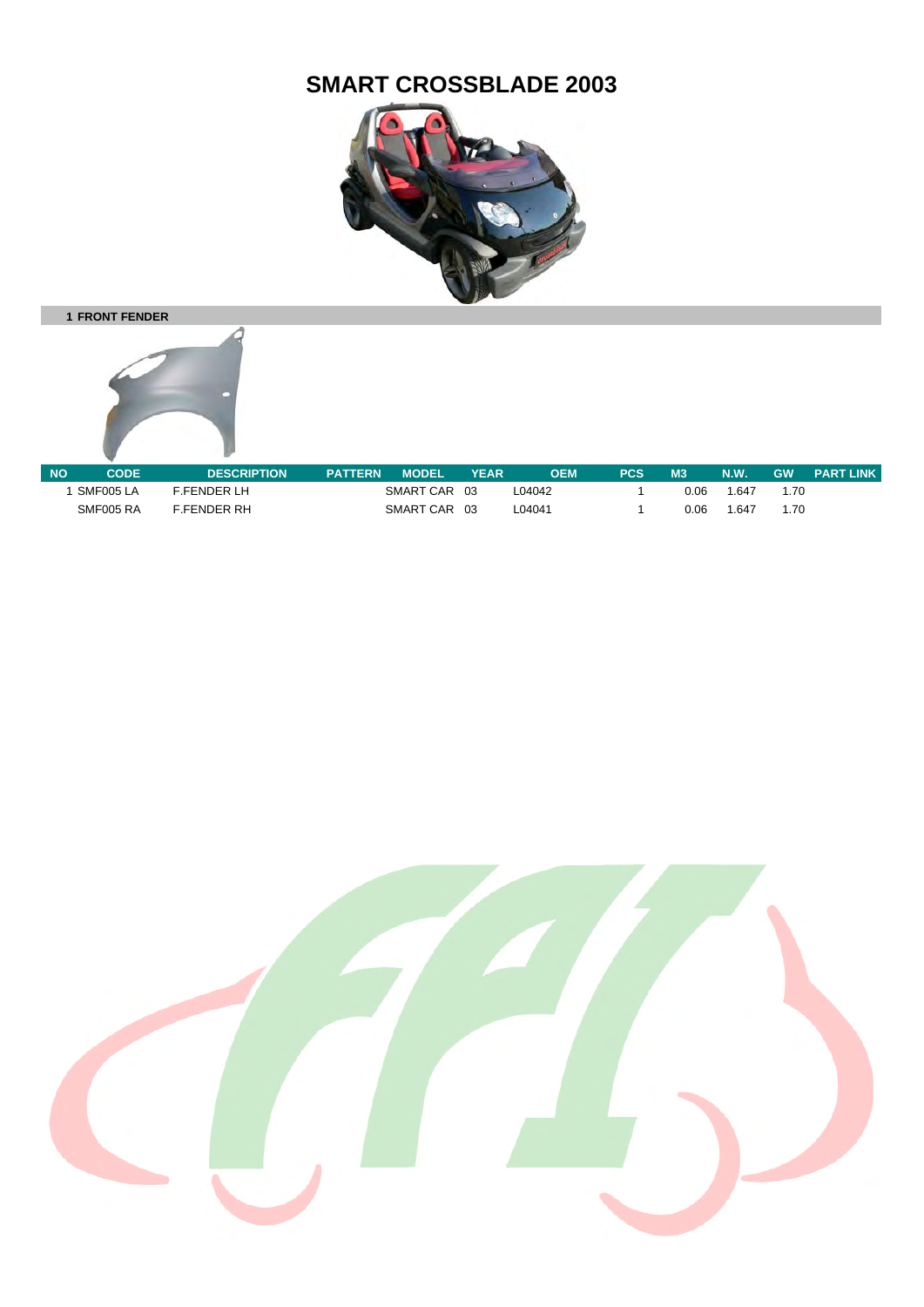## **SMART CROSSBLADE 2003**







| <b>NO</b> | CODE      | <b>DESCRIPTION</b> | <b>PATTERN</b> | <b>MODEL</b> | <b>YEAR</b> | OEM    | PCS | M <sub>3</sub> | N.W.  | <b>GW</b> | <b>PART LINK</b> |
|-----------|-----------|--------------------|----------------|--------------|-------------|--------|-----|----------------|-------|-----------|------------------|
|           | SMF005 LA | <b>E.FFNDFRIH</b>  |                | SMART CAR    | -03         | L04042 |     | 0.06           | .647  | 1.70      |                  |
|           | SMF005 RA | <b>F.FENDER RH</b> |                | SMART CAR    | 03          | L04041 |     | 0.06           | 1.647 | 1.70      |                  |